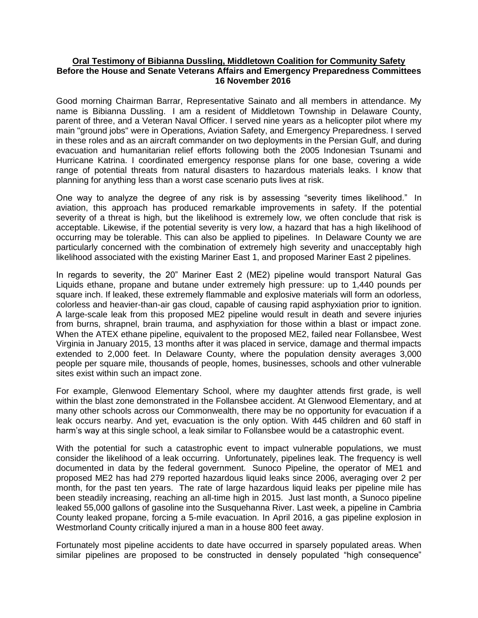## **Oral Testimony of Bibianna Dussling, Middletown Coalition for Community Safety Before the House and Senate Veterans Affairs and Emergency Preparedness Committees 16 November 2016**

Good morning Chairman Barrar, Representative Sainato and all members in attendance. My name is Bibianna Dussling. I am a resident of Middletown Township in Delaware County, parent of three, and a Veteran Naval Officer. I served nine years as a helicopter pilot where my main "ground jobs" were in Operations, Aviation Safety, and Emergency Preparedness. I served in these roles and as an aircraft commander on two deployments in the Persian Gulf, and during evacuation and humanitarian relief efforts following both the 2005 Indonesian Tsunami and Hurricane Katrina. I coordinated emergency response plans for one base, covering a wide range of potential threats from natural disasters to hazardous materials leaks. I know that planning for anything less than a worst case scenario puts lives at risk.

One way to analyze the degree of any risk is by assessing "severity times likelihood." In aviation, this approach has produced remarkable improvements in safety. If the potential severity of a threat is high, but the likelihood is extremely low, we often conclude that risk is acceptable. Likewise, if the potential severity is very low, a hazard that has a high likelihood of occurring may be tolerable. This can also be applied to pipelines. In Delaware County we are particularly concerned with the combination of extremely high severity and unacceptably high likelihood associated with the existing Mariner East 1, and proposed Mariner East 2 pipelines.

In regards to severity, the 20" Mariner East 2 (ME2) pipeline would transport Natural Gas Liquids ethane, propane and butane under extremely high pressure: up to 1,440 pounds per square inch. If leaked, these extremely flammable and explosive materials will form an odorless, colorless and heavier-than-air gas cloud, capable of causing rapid asphyxiation prior to ignition. A large-scale leak from this proposed ME2 pipeline would result in death and severe injuries from burns, shrapnel, brain trauma, and asphyxiation for those within a blast or impact zone. When the ATEX ethane pipeline, equivalent to the proposed ME2, failed near Follansbee, West Virginia in January 2015, 13 months after it was placed in service, damage and thermal impacts extended to 2,000 feet. In Delaware County, where the population density averages 3,000 people per square mile, thousands of people, homes, businesses, schools and other vulnerable sites exist within such an impact zone.

For example, Glenwood Elementary School, where my daughter attends first grade, is well within the blast zone demonstrated in the Follansbee accident. At Glenwood Elementary, and at many other schools across our Commonwealth, there may be no opportunity for evacuation if a leak occurs nearby. And yet, evacuation is the only option. With 445 children and 60 staff in harm's way at this single school, a leak similar to Follansbee would be a catastrophic event.

With the potential for such a catastrophic event to impact vulnerable populations, we must consider the likelihood of a leak occurring. Unfortunately, pipelines leak. The frequency is well documented in data by the federal government. Sunoco Pipeline, the operator of ME1 and proposed ME2 has had 279 reported hazardous liquid leaks since 2006, averaging over 2 per month, for the past ten years. The rate of large hazardous liquid leaks per pipeline mile has been steadily increasing, reaching an all-time high in 2015. Just last month, a Sunoco pipeline leaked 55,000 gallons of gasoline into the Susquehanna River. Last week, a pipeline in Cambria County leaked propane, forcing a 5-mile evacuation. In April 2016, a gas pipeline explosion in Westmorland County critically injured a man in a house 800 feet away.

Fortunately most pipeline accidents to date have occurred in sparsely populated areas. When similar pipelines are proposed to be constructed in densely populated "high consequence"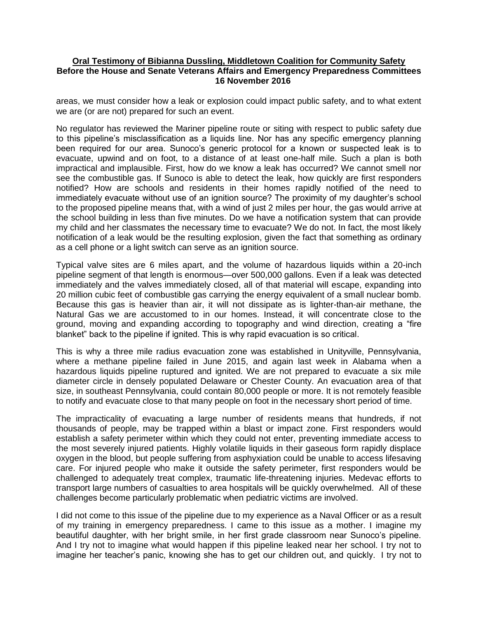## **Oral Testimony of Bibianna Dussling, Middletown Coalition for Community Safety Before the House and Senate Veterans Affairs and Emergency Preparedness Committees 16 November 2016**

areas, we must consider how a leak or explosion could impact public safety, and to what extent we are (or are not) prepared for such an event.

No regulator has reviewed the Mariner pipeline route or siting with respect to public safety due to this pipeline's misclassification as a liquids line. Nor has any specific emergency planning been required for our area. Sunoco's generic protocol for a known or suspected leak is to evacuate, upwind and on foot, to a distance of at least one-half mile. Such a plan is both impractical and implausible. First, how do we know a leak has occurred? We cannot smell nor see the combustible gas. If Sunoco is able to detect the leak, how quickly are first responders notified? How are schools and residents in their homes rapidly notified of the need to immediately evacuate without use of an ignition source? The proximity of my daughter's school to the proposed pipeline means that, with a wind of just 2 miles per hour, the gas would arrive at the school building in less than five minutes. Do we have a notification system that can provide my child and her classmates the necessary time to evacuate? We do not. In fact, the most likely notification of a leak would be the resulting explosion, given the fact that something as ordinary as a cell phone or a light switch can serve as an ignition source.

Typical valve sites are 6 miles apart, and the volume of hazardous liquids within a 20-inch pipeline segment of that length is enormous—over 500,000 gallons. Even if a leak was detected immediately and the valves immediately closed, all of that material will escape, expanding into 20 million cubic feet of combustible gas carrying the energy equivalent of a small nuclear bomb. Because this gas is heavier than air, it will not dissipate as is lighter-than-air methane, the Natural Gas we are accustomed to in our homes. Instead, it will concentrate close to the ground, moving and expanding according to topography and wind direction, creating a "fire blanket" back to the pipeline if ignited. This is why rapid evacuation is so critical.

This is why a three mile radius evacuation zone was established in Unityville, Pennsylvania, where a methane pipeline failed in June 2015, and again last week in Alabama when a hazardous liquids pipeline ruptured and ignited. We are not prepared to evacuate a six mile diameter circle in densely populated Delaware or Chester County. An evacuation area of that size, in southeast Pennsylvania, could contain 80,000 people or more. It is not remotely feasible to notify and evacuate close to that many people on foot in the necessary short period of time.

The impracticality of evacuating a large number of residents means that hundreds, if not thousands of people, may be trapped within a blast or impact zone. First responders would establish a safety perimeter within which they could not enter, preventing immediate access to the most severely injured patients. Highly volatile liquids in their gaseous form rapidly displace oxygen in the blood, but people suffering from asphyxiation could be unable to access lifesaving care. For injured people who make it outside the safety perimeter, first responders would be challenged to adequately treat complex, traumatic life-threatening injuries. Medevac efforts to transport large numbers of casualties to area hospitals will be quickly overwhelmed. All of these challenges become particularly problematic when pediatric victims are involved.

I did not come to this issue of the pipeline due to my experience as a Naval Officer or as a result of my training in emergency preparedness. I came to this issue as a mother. I imagine my beautiful daughter, with her bright smile, in her first grade classroom near Sunoco's pipeline. And I try not to imagine what would happen if this pipeline leaked near her school. I try not to imagine her teacher's panic, knowing she has to get our children out, and quickly. I try not to